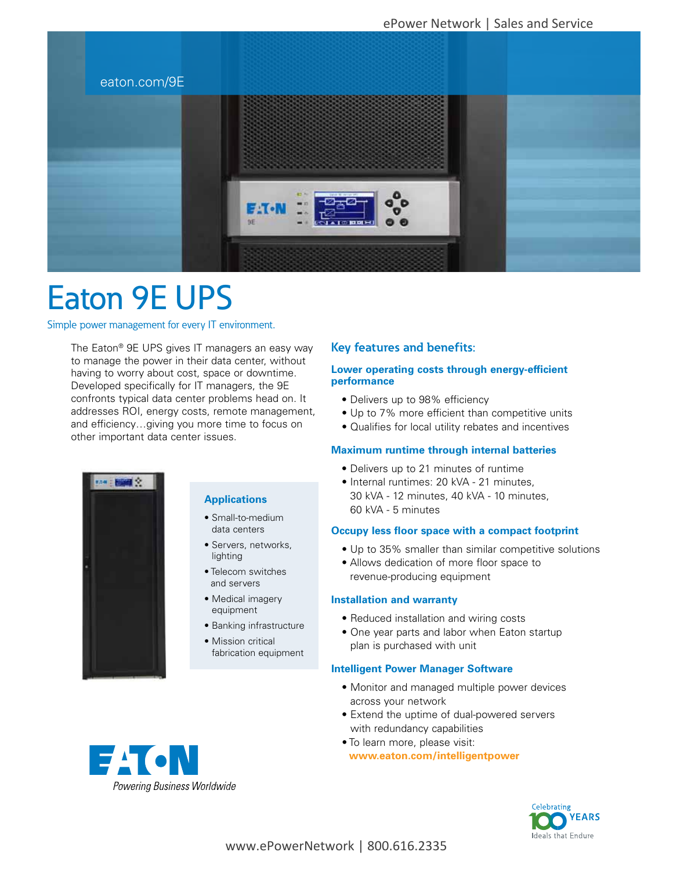

# Eaton 9E UPS

Simple power management for every IT environment.

The Eaton® 9E UPS gives IT managers an easy way to manage the power in their data center, without having to worry about cost, space or downtime. Developed specifically for IT managers, the 9E confronts typical data center problems head on. It addresses ROI, energy costs, remote management, and efficiency…giving you more time to focus on other important data center issues.

# **Key features and benefits:**

#### **Lower operating costs through energy-efficient performance**

- Delivers up to 98% efficiency
- Up to 7% more efficient than competitive units
- Qualifies for local utility rebates and incentives

#### **Maximum runtime through internal batteries**

- Delivers up to 21 minutes of runtime
- Internal runtimes: 20 kVA 21 minutes, 30 kVA - 12 minutes, 40 kVA - 10 minutes, 60 kVA - 5 minutes

#### **Occupy less floor space with a compact footprint**

- Up to 35% smaller than similar competitive solutions
- Allows dedication of more floor space to revenue-producing equipment

#### **Installation and warranty**

- Reduced installation and wiring costs
- One year parts and labor when Eaton startup plan is purchased with unit

#### **Intelligent Power Manager Software**

- Monitor and managed multiple power devices across your network
- Extend the uptime of dual-powered servers with redundancy capabilities
- To learn more, please visit: **www.eaton.com/intelligentpower**





## **Applications**

- Small-to-medium data centers
- Servers, networks, lighting
- Telecom switches and servers
- Medical imagery equipment
- Banking infrastructure
- Mission critical fabrication equipment

**EACN** Powering Business Worldwide